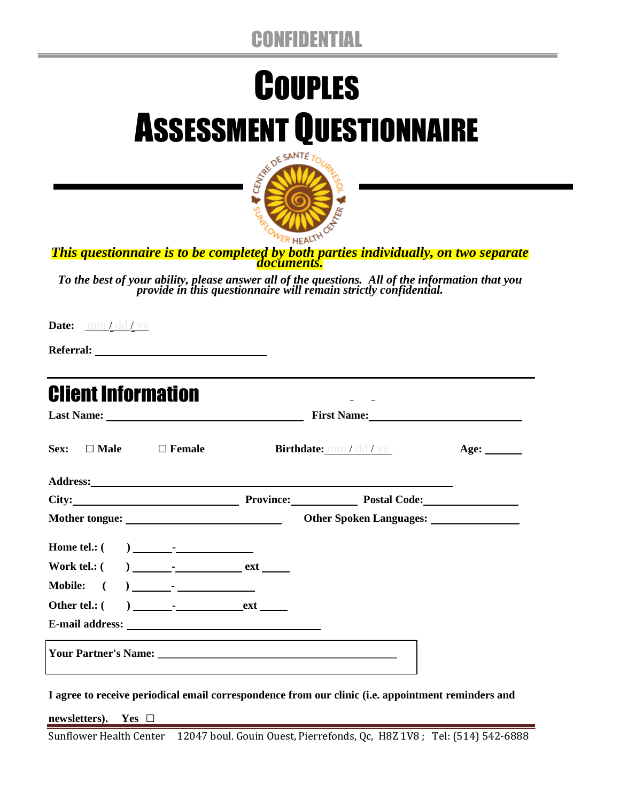## CONFIDENTIAL

# **COUPLES** ASSESSMENT QUESTIONNAIRE



*This questionnaire is to be completed by both parties individually, on two separate documents.*

*To the best of your ability, please answer all of the questions. All of the information that you provide in this questionnaire will remain strictly confidential.* 

**Date:** mm / dd / yy

**Referral:** 

| Sex: $\Box$ Male $\Box$ Female           | Birthdate: mm / dd / yy | Age: $\_\_$                                                                                                                                                                                                                   |  |  |  |  |
|------------------------------------------|-------------------------|-------------------------------------------------------------------------------------------------------------------------------------------------------------------------------------------------------------------------------|--|--|--|--|
|                                          |                         |                                                                                                                                                                                                                               |  |  |  |  |
|                                          |                         | City: City: City: City: City: City: City: City: City: City: City: City: City: City: City: City: City: City: City: City: City: City: City: City: City: City: City: City: City: City: City: City: City: City: City: City: City: |  |  |  |  |
|                                          |                         | Other Spoken Languages:                                                                                                                                                                                                       |  |  |  |  |
|                                          |                         |                                                                                                                                                                                                                               |  |  |  |  |
|                                          |                         |                                                                                                                                                                                                                               |  |  |  |  |
| Mobile: $($ $)$ $)$ $\frac{1}{\sqrt{2}}$ |                         |                                                                                                                                                                                                                               |  |  |  |  |
|                                          |                         |                                                                                                                                                                                                                               |  |  |  |  |
|                                          |                         |                                                                                                                                                                                                                               |  |  |  |  |
|                                          |                         |                                                                                                                                                                                                                               |  |  |  |  |

**I agree to receive periodical email correspondence from our clinic (i.e. appointment reminders and** 

**newsletters). Yes □**

Sunflower Health Center 12047 boul. Gouin Ouest, Pierrefonds, Qc, H8Z 1V8 ; Tel: (514) 542-6888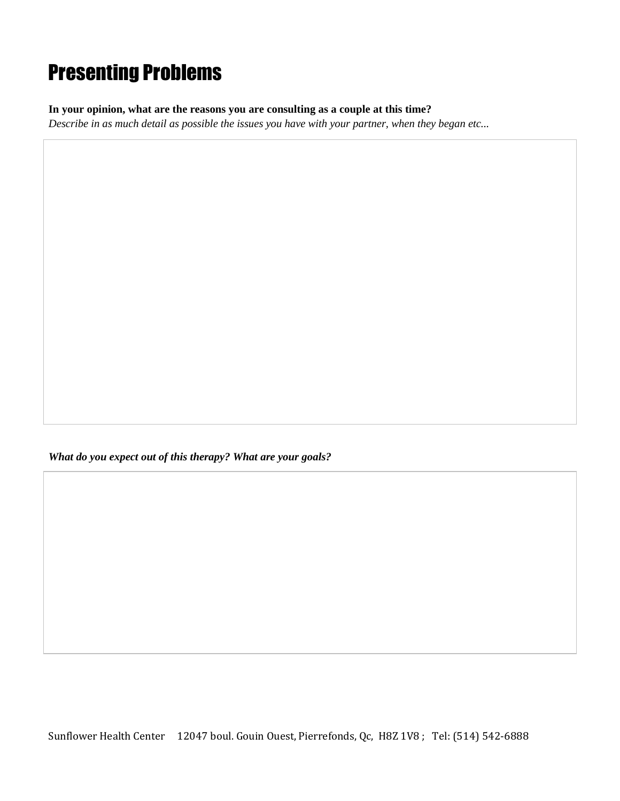# Presenting Problems

**In your opinion, what are the reasons you are consulting as a couple at this time?** 

*Describe in as much detail as possible the issues you have with your partner, when they began etc...*

*What do you expect out of this therapy? What are your goals?*

Sunflower Health Center 12047 boul. Gouin Ouest, Pierrefonds, Qc, H8Z 1V8 ; Tel: (514) 542-6888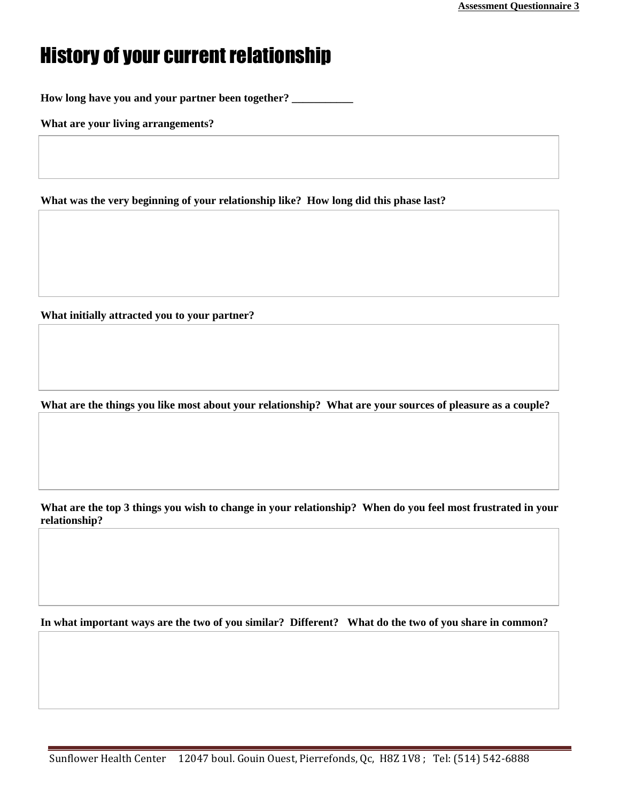## History of your current relationship

**How long have you and your partner been together? \_\_\_\_\_\_\_\_\_\_\_**

**What are your living arrangements?** 

**What was the very beginning of your relationship like? How long did this phase last?**

**What initially attracted you to your partner?** 

**What are the things you like most about your relationship? What are your sources of pleasure as a couple?**

**What are the top 3 things you wish to change in your relationship? When do you feel most frustrated in your relationship?**

**In what important ways are the two of you similar? Different? What do the two of you share in common?**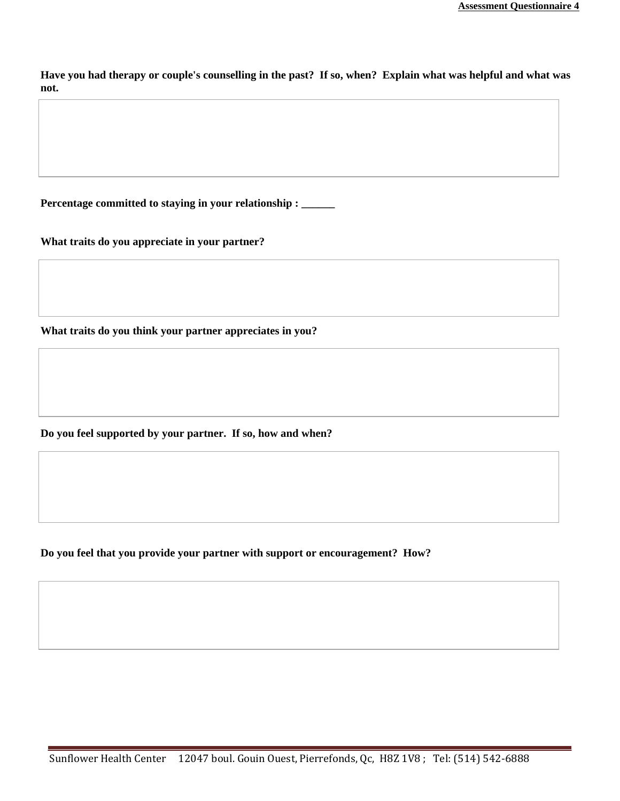**Have you had therapy or couple's counselling in the past? If so, when? Explain what was helpful and what was not.** 

**Percentage committed to staying in your relationship : \_\_\_\_\_\_**

**What traits do you appreciate in your partner?**

**What traits do you think your partner appreciates in you?**

**Do you feel supported by your partner. If so, how and when?**

**Do you feel that you provide your partner with support or encouragement? How?**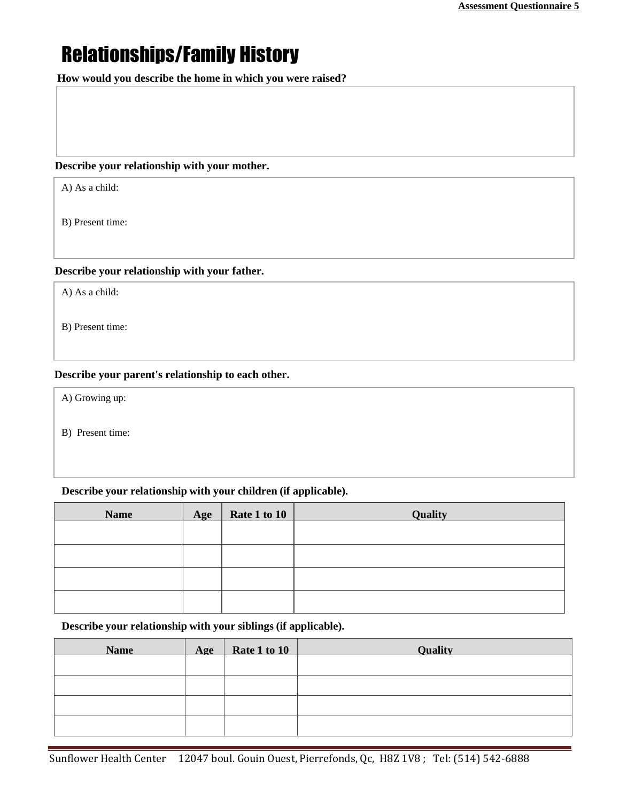## Relationships/Family History

 **How would you describe the home in which you were raised?** 

#### **Describe your relationship with your mother.**

A) As a child:

B) Present time:

#### **Describe your relationship with your father.**

A) As a child:

B) Present time:

#### **Describe your parent's relationship to each other.**

A) Growing up:

B) Present time:

#### **Describe your relationship with your children (if applicable).**

| <b>Name</b> | Age | Rate 1 to 10 | Quality |
|-------------|-----|--------------|---------|
|             |     |              |         |
|             |     |              |         |
|             |     |              |         |
|             |     |              |         |

**Describe your relationship with your siblings (if applicable).**

| <b>Name</b> | Age | Rate 1 to 10 | <b>Ouality</b> |
|-------------|-----|--------------|----------------|
|             |     |              |                |
|             |     |              |                |
|             |     |              |                |
|             |     |              |                |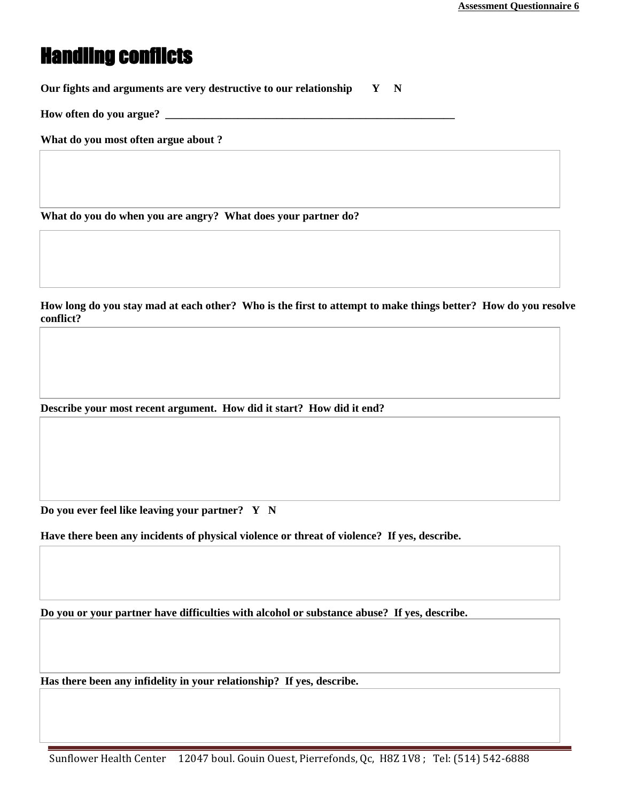### Handling conflicts

**Our fights and arguments are very destructive to our relationship Y N**

**How often do you argue?** 

**What do you most often argue about ?** 

**What do you do when you are angry? What does your partner do?** 

**How long do you stay mad at each other? Who is the first to attempt to make things better? How do you resolve conflict?**

**Describe your most recent argument. How did it start? How did it end?**

**Do you ever feel like leaving your partner? Y N**

**Have there been any incidents of physical violence or threat of violence? If yes, describe.**

**Do you or your partner have difficulties with alcohol or substance abuse? If yes, describe.**

**Has there been any infidelity in your relationship? If yes, describe.**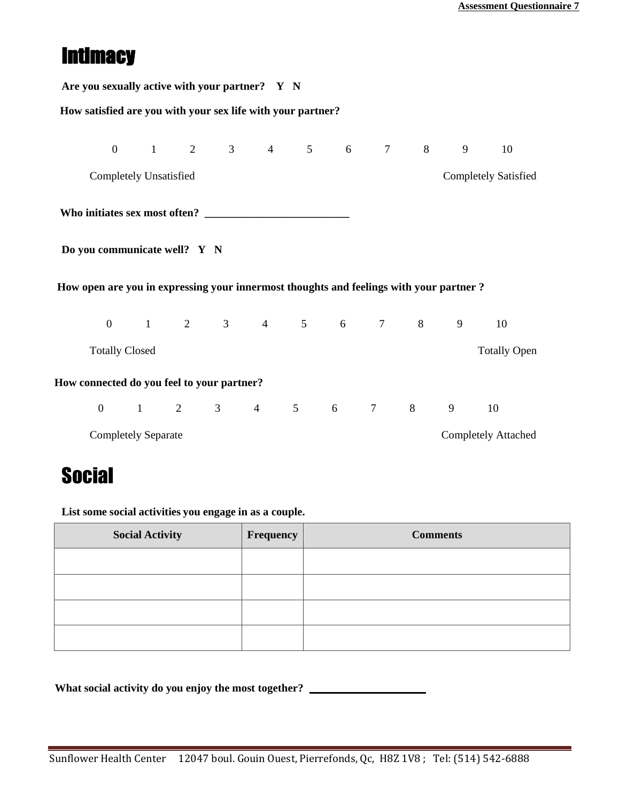## **Intimacy**

| Are you sexually active with your partner? Y N |                                                                                        |  |                        |  |  |  |  |  |           |
|------------------------------------------------|----------------------------------------------------------------------------------------|--|------------------------|--|--|--|--|--|-----------|
|                                                | How satisfied are you with your sex life with your partner?                            |  |                        |  |  |  |  |  |           |
|                                                |                                                                                        |  | 0 1 2 3 4 5 6 7 8 9    |  |  |  |  |  | <b>10</b> |
|                                                | <b>Completely Satisfied</b><br><b>Completely Unsatisfied</b>                           |  |                        |  |  |  |  |  |           |
|                                                |                                                                                        |  |                        |  |  |  |  |  |           |
|                                                | Do you communicate well? Y N                                                           |  |                        |  |  |  |  |  |           |
|                                                | How open are you in expressing your innermost thoughts and feelings with your partner? |  |                        |  |  |  |  |  |           |
|                                                |                                                                                        |  | 0 1 2 3 4 5 6 7 8 9 10 |  |  |  |  |  |           |
|                                                | <b>Totally Closed</b><br><b>Totally Open</b>                                           |  |                        |  |  |  |  |  |           |
|                                                | How connected do you feel to your partner?                                             |  |                        |  |  |  |  |  |           |
|                                                |                                                                                        |  | 0 1 2 3 4 5 6 7 8 9    |  |  |  |  |  | 10        |
|                                                | <b>Completely Attached</b><br><b>Completely Separate</b>                               |  |                        |  |  |  |  |  |           |

## **Social**

**List some social activities you engage in as a couple.**

| <b>Social Activity</b> | Frequency | <b>Comments</b> |
|------------------------|-----------|-----------------|
|                        |           |                 |
|                        |           |                 |
|                        |           |                 |
|                        |           |                 |

**What social activity do you enjoy the most together?**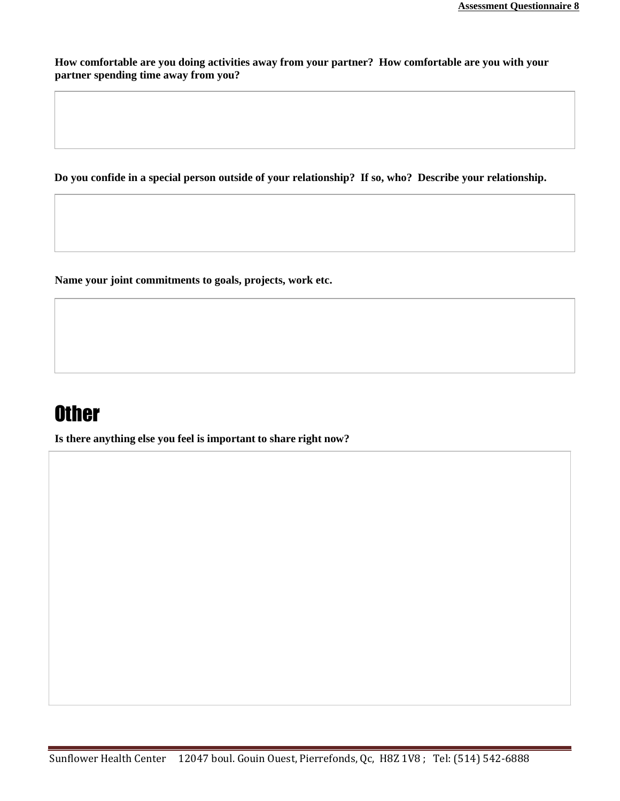**How comfortable are you doing activities away from your partner? How comfortable are you with your partner spending time away from you?**

 **Do you confide in a special person outside of your relationship? If so, who? Describe your relationship.**

**Name your joint commitments to goals, projects, work etc.**

## **Other**

**Is there anything else you feel is important to share right now?**